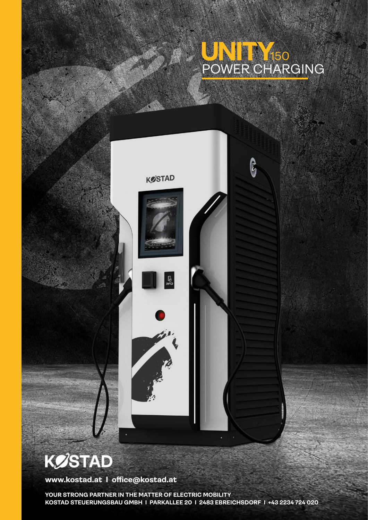## POWER CHARGING 150

ြို့



## **KØSTAD**

**www.kostad.at I office@kostad.at**

**YOUR STRONG PARTNER IN THE MATTER OF ELECTRIC MOBILITY KOSTAD STEUERUNGSBAU GMBH I PARKALLEE 20 I 2483 EBREICHSDORF I +43 2234 724 020**